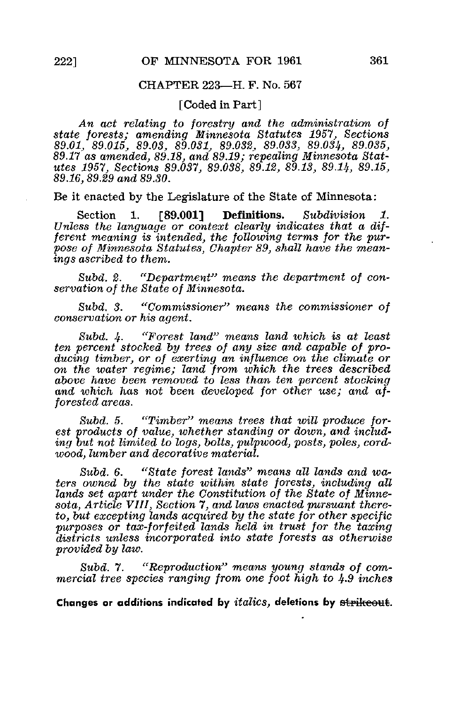## CHAPTER 223—H. F. No. 567

[Coded in Part]

An act relating to forestry and the administration of state forests; amending Minnesota Statutes 1957, Sections 89.01, 89.015, 89.03, 89.031, 89.032, 89.033, 89.03%, 89.035, 89.17 as amended, 89.18, and 89.19; repealing Minnesota Statutes 1957, Sections 89.037, 89.038, 89.12, 89.13, 89.14, 89.15, 89.16, 89.29 and 89.30.

Be it enacted by the Legislature of the State of Minnesota:

Section 1. [89.001] Definitions. Subdivision 1. Unless the language or context clearly indicates that a different meaning is intended, the following terms for the purpose of Minnesota Statutes, Chapter 89, shall have the meanings ascribed to them.

Subd. 2. "Department" means the department of conservation of the State of Minnesota.

Subd. 3. "Commissioner" means the commissioner of conservation or his agent.

Subd.  $4.$  "Forest land" means land which is at least ten percent stocked by trees of any size and capable of producing timber, or of exerting an influence on the climate or on the water regime; land from which the trees described above have been removed to less than ten percent stocking and which has not been developed for other use; and afforested areas.

Subd. 5. "Timber" means trees that will produce forest products of value, whether standing or down, and including but not limited to logs, bolts, pulpwood, posts, poles, cordwood, lumber and decorative material.

Subd. 6. "State forest lands" means all lands and waters owned by the state within state forests, including all lands set apart under the Constitution of the State of Minnesota, Article VIII, Section 7, and laws enacted pursuant thereto, but excepting lands acquired by the state for other specific purposes or tax-forfeited lands held in trust for the taxing districts unless incorporated into state forests as otherwise provided by law,

Subd. 7. "Reproduction" means young stands of commercial tree species ranging from one foot high to  $4.9$  inches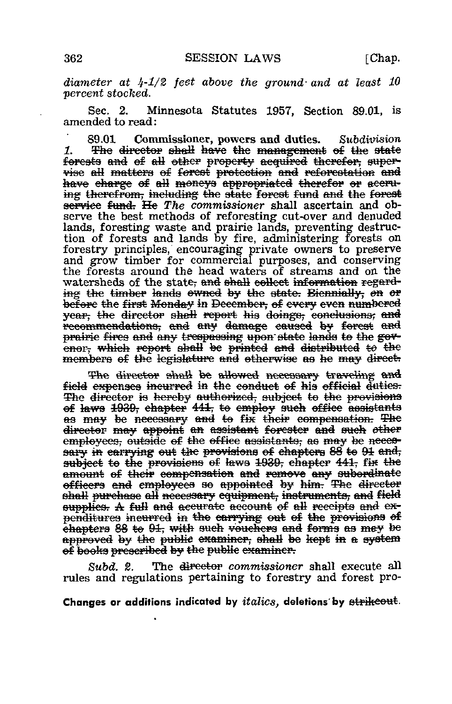diameter at  $4-1/2$  feet above the ground and at least 10 percent stocked.

Sec. 2. Minnesota Statutes 1957, Section 89.01, is amended to read:

89.01 Commissioner, powers and duties. Subdivision  $\mathbf{1}$ The director shall have the management of the state forests and of all other property acquired therefor, supervise all matters of forest protection and reforestation and have charge of all moneys appropriated therefor or accruing therefrom, including the state forest fund and the forest service fund. He The commissioner shall ascertain and observe the best methods of reforesting cut-over and denuded lands, foresting waste and prairie lands, preventing destruction of forests and lands by fire, administering forests on forestry principles, encouraging private owners to preserve and grow timber for commercial purposes, and conserving the forests around the head waters of streams and on the watersheds of the state, and shall collect information regarding the timber lands owned by the state. Biennially, on or before the first Monday in December, of every even numbered year, the director shall report his doings, conclusions, and recommendations, and any damage caused by forcst and prairie fires and any trespassing upon state lands to the govenor, which report shall be printed and distributed to the members of the legislature and otherwise as he may direct.

The director shall be allowed necessary traveling and field expenses incurred in the conduct of his official duties. The director is hereby authorized, subject to the provisions of laws 1939, chapter 441, to employ such office assistants as may be necessary and to fix their compensation. The director may appoint an assistant forester and such other employees, outside of the office assistants, as may be necessary in carrying out the provisions of chapters 88 to 91 and, subject to the provisions of laws 1939, chapter 441, fix the amount of their compensation and remove any subordinate officers and employees so appointed by him. The director shall purchase all necessary equipment, instruments, and field supplies. A full and accurate account of all receipts and expenditures ineurred in the carrying out of the provisions of chapters 88 to 91, with such vouchers and forms as may be approved by the public examiner, shall be kept in a system of books prescribed by the public examiner.

The <del>director</del> commissioner shall execute all Subd. 2. rules and regulations pertaining to forestry and forest pro-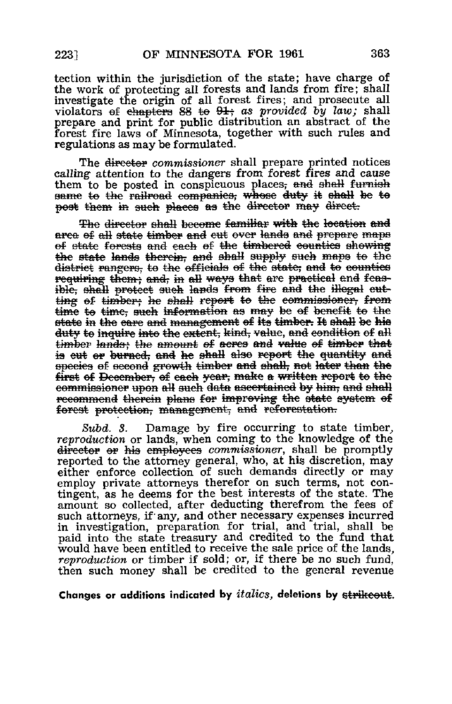tection within the jurisdiction of the state; have charge of the work of protecting all forests and lands from fire; shall investigate the origin of all forest fires; and prosecute all violators of chapters 88 to  $91$ ; as provided by law; shall prepare and print for public distribution an abstract of the forest fire laws of Minnesota, together with such rules and regulations as may be formulated.

The director commissioner shall prepare printed notices calling attention to the dangers from forest fires and cause them to be posted in conspicuous places, and shall furnish same to the railroad companies, whose duty it shall be to post them in such places as the director may direct.

The director shall become familiar with the location and area of all state timber and cut over lands and prepare maps of state forests and each of the timbered counties showing the state lands therein, and shall supply such maps to the district rangers, to the officials of the state, and to counties requiring them; and, in all ways that are practical and feasible, shall protect such lands from fire and the illegal cutting of timber; he shall report to the commissioner, from time to time, such information as may be of benefit to the state in the care and management of its timber. It shall be his duty to inquire into the extent, kind, value, and condition of all timber lands; the amount of acres and value of timber that is cut or burned, and he shall also report the quantity and species of second growth timber and shall, not later than the first of December, of each year, make a written report to the commissioner upon all such data ascertained by him, and shall recommend therein plans for improving the state system of forest protection, management, and reforestation.

Subd. 3. Damage by fire occurring to state timber, reproduction or lands, when coming to the knowledge of the director or his employees commissioner, shall be promptly reported to the attorney general, who, at his discretion, may either enforce collection of such demands directly or may employ private attorneys therefor on such terms, not contingent, as he deems for the best interests of the state. The amount so collected, after deducting therefrom the fees of such attorneys, if any, and other necessary expenses incurred in investigation, preparation for trial, and trial, shall be paid into the state treasury and credited to the fund that would have been entitled to receive the sale price of the lands. reproduction or timber if sold; or, if there be no such fund. then such money shall be credited to the general revenue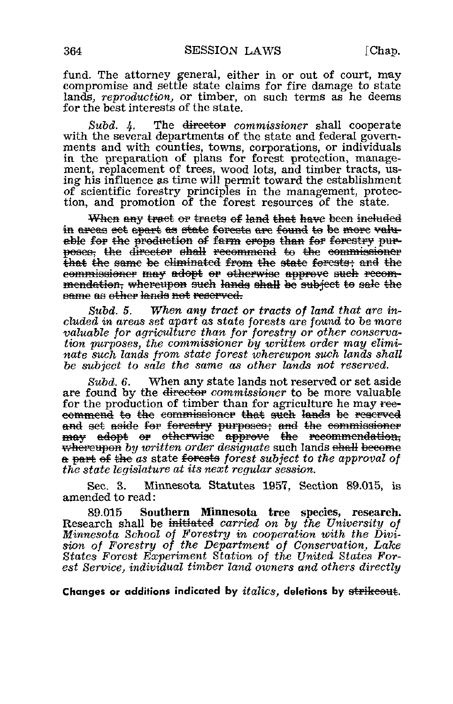fund. The attorney general, either in or out of court, may compromise and settle state claims for fire damage to state lands, reproduction, or timber, on such terms as he deems for the best interests of the state.

 $Subd.$  4. The director commissioner shall cooperate with the several departments of the state and federal governments and with counties, towns, corporations, or individuals in the preparation of plans for forest protection, management, replacement of trees, wood lots, and timber tracts, using his influence as time will permit toward the establishment of scientific forestry principles in the management, protection, and promotion of the forest resources of the state.

When any tract or tracts of land that have been included in areas set apart as state forests are found to be more valuable for the production of farm erops than for forestry purposes, the director shall recommend to the commissioner that the same be eliminated from the state forests; and the commissioner may adopt or otherwise approve such recommendation, whereupon such lands shall be subject to sale the same as other lands not reserved.

 $Subd. 5.$ When any tract or tracts of land that are included in areas set apart as state forests are found to be more valuable for agriculture than for forestry or other conservation purposes, the commissioner by written order may eliminate such lands from state forest whereupon such lands shall be subject to sale the same as other lands not reserved.

 $Subd.6.$ When any state lands not reserved or set aside are found by the director commissioner to be more valuable for the production of timber than for agriculture he may reecommend to the commissioner that such lands be reserved and set aside for forestry purposes; and the commissioner may adopt or otherwise approve the recommendation, <del>whereupon</del> by written order designate such lands shall become a part of the as state forests forest subject to the approval of the state legislature at its next regular session.

Minnesota Statutes 1957, Section 89.015, is Sec. 3. amended to read:

Southern Minnesota tree species, research. 89.015 Research shall be <del>initiated</del> carried on by the University of Minnesota School of Forestry in cooperation with the Division of Forestry of the Department of Conservation, Lake States Forest Experiment Station of the United States Forest Service, individual timber land owners and others directly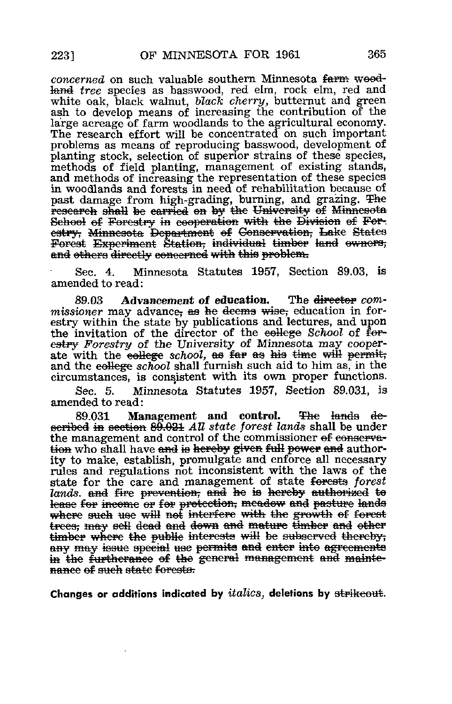concerned on such valuable southern Minnesota farm woodthand tree species as basswood, red elm, rock elm, red and white oak, black walnut, black cherry, butternut and green ash to develop means of increasing the contribution of the large acreage of farm woodlands to the agricultural economy. The research effort will be concentrated on such important problems as means of reproducing basswood, development of planting stock, selection of superior strains of these species, methods of field planting, management of existing stands, and methods of increasing the representation of these species in woodlands and forests in need of rehabilitation because of past damage from high-grading, burning, and grazing. The research shall be carried on by the University of Minnesota School of Forestry in cooperation with the Division of Forestry, Minnesota Department of Conservation, Lake States Forcst Experiment Station, individual timber land owners, and others directly concerned with this problem.

Sec. 4. Minnesota Statutes 1957, Section 89.03, is amended to read:

89.03 Advancement of education. The director commissioner may advance, as he deems wise, education in forestry within the state by publications and lectures, and upon the invitation of the director of the eellege School of forestry Forestry of the University of Minnesota may cooperate with the college school, as far as his time will permit, and the college school shall furnish such aid to him as, in the circumstances, is consistent with its own proper functions.

Sec. 5. Minnesota Statutes 1957, Section 89.031, is amended to read :

89.031 Management and control. The lands described in section  $89.021$  All state forest lands shall be under the management and control of the commissioner of conservation who shall have and is hereby given full power and authority to make, establish, promulgate and enforce all necessary rules and regulations not inconsistent with the laws of the state for the care and management of state forests forest lands, and fire prevention, and he is hereby authorized to tease for income or for protection, meadow and pasture lands where such use will not interfere with the growth of forest  $_{\rm max}$  sell dead and down and mature timber and other timber where the public interests will be subserved thereby; any may issue special use permits and enter into agreements in the furtherance of the general management and maintenance of such state forests.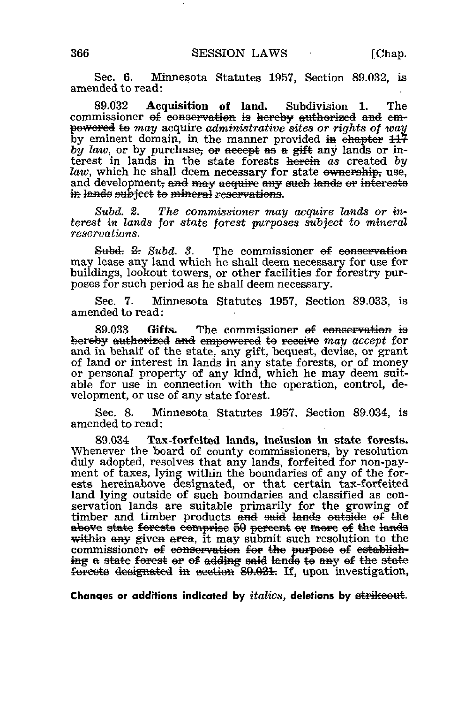Sec. 6. Minnesota Statutes 1957, Section 89.032, is amended to read:

89.032 Acquisition of land. Subdivision 1. The commissioner of conservation is hereby authorized and empowcred to may acquire administrative sites or rights of way by eminent domain, in the manner provided in  $\overline{e}$  hapter  $11\overline{7}$ by law, or by purchase, or accept as a gift any lands or interest in lands in the state forests herein as created by law, which he shall deem necessary for state ownership, use, and development, and may acquire any such lands or interests in lands subject to mineral reservations.

Subd. 2. The commissioner may acquire lands or interest in lands for state forest purposes subject to mineral reservations.

 $Subd. 2: Subd. 3.$  The commissioner of conservation may lease any land which he shall deem, necessary for use for buildings, lookout towers, or other facilities for forestry purposes for such period as he shall deem necessary.

Sec. 7. Minnesota Statutes 1957, Section 89.033, is amended to read:

89.033 Gifts. The commissioner of conservation is hereby authorized and empowered to receive may accept for and in behalf of the state, any gift, bequest, devise, or grant of land or interest in lands in any state forests, or of money or personal property of any kind, which he may deem suitable for use in connection with the operation, control, development, or use of any state forest.

Sec. 8. Minnesota Statutes 1957, Section 89.034, is amended to read:

89.034 Tax-forfeited lands, inclusion in state forests. Whenever the board of county commissioners, by resolution duly adopted, resolves that any lands, forfeited for non-payment of taxes, lying within the boundaries of any of the forests hereinabove designated, or that certain tax-forfeited land lying outside of such boundaries and classified as conservation lands are suitable primarily for the growing of timber and timber products and said lands outside of the above state forests comprise 50 percent or more of the lands within any given area, it may submit such resolution to the commissioner. of conservation for the purpose of establish $m$  ing a state forest or of adding said lands to any of the state forcats designated in section 80.021. If, upon investigation,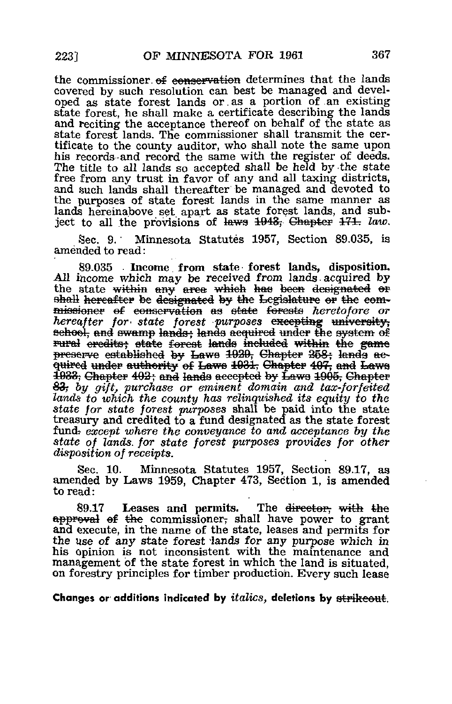the commissioner of conservation determines that the lands covered by such resolution can best be managed and developed as state forest lands or as a portion of an existing state forest, he shall make a certificate describing the lands and reciting the acceptance thereof on behalf of the state as state forest lands. The commissioner shall transmit the certificate to the county auditor, who shall note the same upon his records and record the same with the register of deeds. The title to all lands so accepted shall be held by the state free from any trust in favor of any and all taxing districts, and such lands shall thereafter be managed and devoted to the purposes of state forest lands in the same manner as lands hereinabove set apart as state forest lands, and subject to all the provisions of laws 1943, Chapter 171. law.

Minnesota Statutes 1957, Section 89.035, is Sec. 9. amended to read:

89.035 Income from state forest lands, disposition. All income which may be received from lands acquired by the state within any area which has been designated or shall hereafter be designated by the Legislature or the commissioner of conservation as state forests heretofore or hereafter for state forest purposes excepting university. school, and swamp lands; lands acquired under the system of rural credits; state forest lands included within the game preserve established by Laws 1929, Chapter 258; lands acquired under authority of Laws 1931, Chapter 407, and Laws 1933, Chapter 402; and lands accepted by Laws 1905, Chapter 83, by gift, purchase or eminent domain and tax-forfeited lands to which the county has relinquished its equity to the state for state forest purposes shall be paid into the state treasury and credited to a fund designated as the state forest fund except where the conveyance to and acceptance by the state of lands for state forest purposes provides for other disposition of receipts.

Minnesota Statutes 1957, Section 89.17, as Sec. 10. amended by Laws 1959, Chapter 473, Section 1, is amended to read:

Leases and permits. The <del>director, with the</del> 89.17 approval of the commissioner, shall have power to grant and execute, in the name of the state, leases and permits for the use of any state forest lands for any purpose which in his opinion is not inconsistent with the maintenance and management of the state forest in which the land is situated. on forestry principles for timber production. Every such lease

Changes or additions indicated by i $\it{talics}$ , deletions by s<del>trikeout</del>.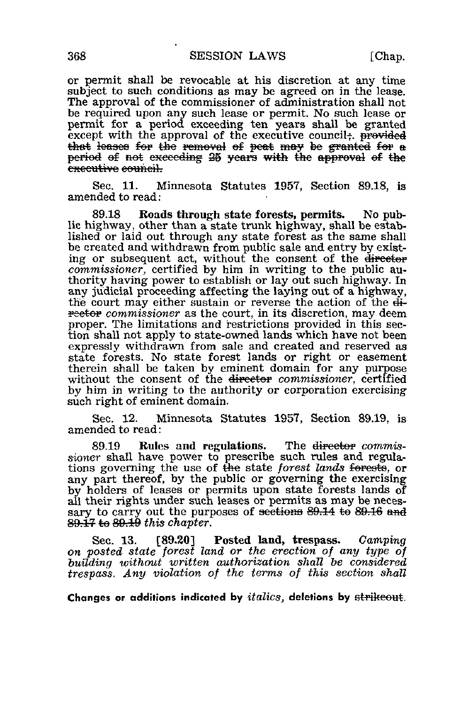or permit shall be revocable at his discretion at any time subject to such conditions as may be agreed on in the lease. The approval of the commissioner of administration shall not be required upon any such lease or permit. No such lease or permit for a period exceeding ten years shall be granted except with the approval of the executive council  $\div$ . provided that leases for the removal of peat may be granted for  $\bf{a}$ period of not exceeding 25 years with the approval of the executive council.

Sec. 11. Minnesota Statutes 1957, Section 89.18, is amended to read:

89.18 Roads through state forests, permits. No public highway, other than a state trunk highway, shall be established or laid out through any state forest as the same shall be created and withdrawn from public sale and entry by existing or subsequent act, without the consent of the director commissioner, certified by him in writing to the public authority having power to establish or lay out such highway. In any judicial proceeding affecting the laying out of a highway, the court may either sustain or reverse the action of the di $f{re<sub>te</sub>eto<sub>r</sub>}$  commissioner as the court, in its discretion, may deem proper. The limitations and restrictions provided in this section shall not apply to state-owned lands which have not been expressly withdrawn from sale and created and reserved as state forests. No state forest lands or right or easement therein shall be taken by eminent domain for any purpose without the consent of the <del>director</del> commissioner, certified by him in writing to the authority or corporation exercising such right of eminent domain.

Sec. 12. Minnesota Statutes 1957, Section 89.19, is amended to read:

89.19 Rules and regulations. The director commissioner shall have power to prescribe such rules and regulations governing the use of the state forest lands forests, or any part thereof, by the public or governing the exercising by holders of leases or permits upon state forests lands of all their rights under such leases or permits as may be necessary to carry out the purposes of sections 89.14 to 89.16 and  $89.17$  to  $89.19$  this chapter.

Sec. 13. [89.20] Posted land, trespass. Camping on posted state forest land or the erection of any type of building without written authorization shall be considered trespass. Any violation of the terms of this section shall